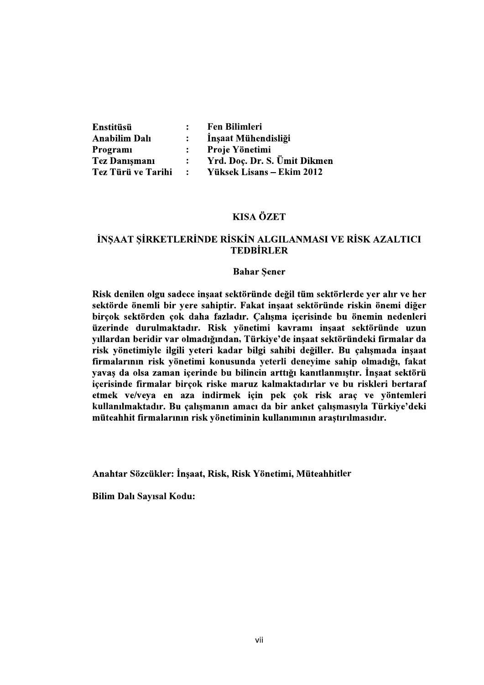| Enstitüsü                 | $\ddot{\cdot}$                   | Fen Bilimleri                                  |  |
|---------------------------|----------------------------------|------------------------------------------------|--|
| <b>Anabilim Dalı</b>      | $\ddot{\cdot}$                   | İnşaat Mühendisliği                            |  |
| Programı<br>Tez Danışmanı | $\ddot{\cdot}$<br>$\ddot{\cdot}$ | Proje Yönetimi<br>Yrd. Doç. Dr. S. Ümit Dikmen |  |
| Tez Türü ve Tarihi        | $\ddot{\cdot}$                   | Yüksek Lisans - Ekim 2012                      |  |
|                           |                                  |                                                |  |
|                           |                                  | <b>KISA ÖZET</b>                               |  |

## İNŞAAT ŞİRKETLERİNDE RİSKİN ALGILANMASI VE RİSK AZALTICI **TEDBİRLER**

### **Bahar Sener**

Risk denilen olgu sadece insaat sektöründe değil tüm sektörlerde ver alır ve her sektörde önemli bir yere sahiptir. Fakat insaat sektöründe riskin önemi diğer birçok sektörden çok daha fazladır. Calısma içerisinde bu önemin nedenleri üzerinde durulmaktadır. Risk yönetimi kavramı inşaat sektöründe uzun yıllardan beridir var olmadığından, Türkiye'de inşaat sektöründeki firmalar da risk yönetimiyle ilgili yeteri kadar bilgi sahibi değiller. Bu çalışmada inşaat firmalarının risk yönetimi konusunda yeterli deneyime sahip olmadığı, fakat vavas da olsa zaman içerinde bu bilincin arttığı kanıtlanmıştır. İnsaat sektörü içerisinde firmalar birçok riske maruz kalmaktadırlar ve bu riskleri bertaraf etmek ve/veya en aza indirmek için pek çok risk araç ve yöntemleri kullanılmaktadır. Bu çalışmanın amacı da bir anket çalışmasıyla Türkiye'deki müteahhit firmalarının risk yönetiminin kullanımının araştırılmasıdır.

Anahtar Sözcükler: İnşaat, Risk, Risk Yönetimi, Müteahhitler

**Bilim Dalı Sayısal Kodu:**